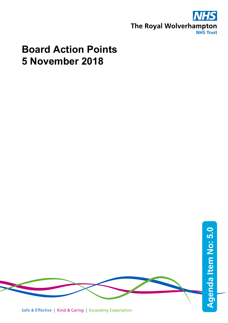

## **Board Action Points 5 November 2018**

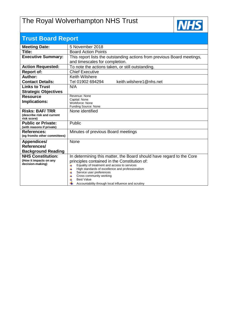## The Royal Wolverhampton NHS Trust



| <b>Trust Board Report</b>                           |                                                                                                   |  |  |  |  |  |  |
|-----------------------------------------------------|---------------------------------------------------------------------------------------------------|--|--|--|--|--|--|
| <b>Meeting Date:</b>                                | 5 November 2018                                                                                   |  |  |  |  |  |  |
| Title:                                              | <b>Board Action Points</b>                                                                        |  |  |  |  |  |  |
| <b>Executive Summary:</b>                           | This report lists the outstanding actions from previous Board meetings,                           |  |  |  |  |  |  |
|                                                     | and timescales for completion.                                                                    |  |  |  |  |  |  |
| <b>Action Requested:</b>                            | To note the actions taken, or still outstanding.                                                  |  |  |  |  |  |  |
| <b>Report of:</b>                                   | <b>Chief Executive</b>                                                                            |  |  |  |  |  |  |
| Author:                                             | <b>Keith Wilshere</b>                                                                             |  |  |  |  |  |  |
| <b>Contact Details:</b>                             | keith.wilshere1@nhs.net<br>Tel 01902 694294                                                       |  |  |  |  |  |  |
| <b>Links to Trust</b>                               | N/A                                                                                               |  |  |  |  |  |  |
| <b>Strategic Objectives</b>                         |                                                                                                   |  |  |  |  |  |  |
| <b>Resource</b>                                     | Revenue: None<br>Capital: None                                                                    |  |  |  |  |  |  |
| Implications:                                       | Workforce: None                                                                                   |  |  |  |  |  |  |
|                                                     | Funding Source: None                                                                              |  |  |  |  |  |  |
| <b>Risks: BAF/TRR</b><br>(describe risk and current | None identified                                                                                   |  |  |  |  |  |  |
| risk score)                                         |                                                                                                   |  |  |  |  |  |  |
| <b>Public or Private:</b>                           | Public                                                                                            |  |  |  |  |  |  |
| (with reasons if private)                           |                                                                                                   |  |  |  |  |  |  |
| <b>References:</b>                                  | Minutes of previous Board meetings                                                                |  |  |  |  |  |  |
| (eg from/to other committees)                       |                                                                                                   |  |  |  |  |  |  |
| Appendices/                                         | None                                                                                              |  |  |  |  |  |  |
| References/                                         |                                                                                                   |  |  |  |  |  |  |
| <b>Background Reading</b>                           |                                                                                                   |  |  |  |  |  |  |
| <b>NHS Constitution:</b><br>(How it impacts on any  | In determining this matter, the Board should have regard to the Core                              |  |  |  |  |  |  |
| decision-making)                                    | principles contained in the Constitution of:<br>Equality of treatment and access to services<br>4 |  |  |  |  |  |  |
|                                                     | 4<br>High standards of excellence and professionalism                                             |  |  |  |  |  |  |
|                                                     | 4<br>Service user preferences                                                                     |  |  |  |  |  |  |
|                                                     | Cross community working<br>⋕<br><b>Best Value</b>                                                 |  |  |  |  |  |  |
|                                                     | Accountability through local influence and scrutiny                                               |  |  |  |  |  |  |